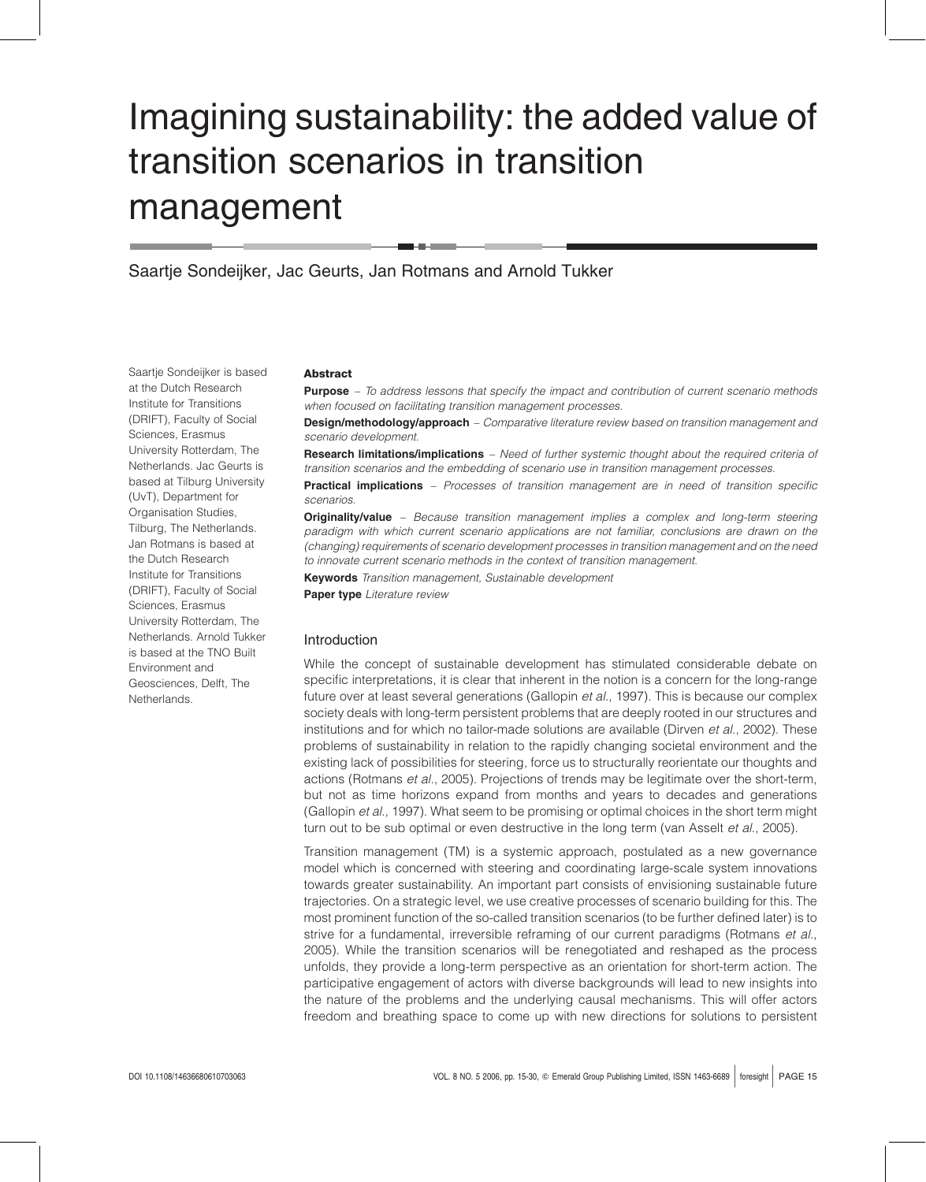# Imagining sustainability: the added value of transition scenarios in transition management

Saartie Sondeijker, Jac Geurts, Jan Rotmans and Arnold Tukker

Saartje Sondeijker is based at the Dutch Research Institute for Transitions (DRIFT), Faculty of Social Sciences, Erasmus University Rotterdam, The Netherlands. Jac Geurts is based at Tilburg University (UvT), Department for Organisation Studies, Tilburg, The Netherlands. Jan Rotmans is based at the Dutch Research Institute for Transitions (DRIFT), Faculty of Social Sciences, Erasmus University Rotterdam, The Netherlands. Arnold Tukker is based at the TNO Built Environment and Geosciences, Delft, The Netherlands.

#### **Abstract**

**Purpose** – To address lessons that specify the impact and contribution of current scenario methods when focused on facilitating transition management processes.

**Design/methodology/approach** – Comparative literature review based on transition management and scenario development.

**Research limitations/implications** – Need of further systemic thought about the required criteria of transition scenarios and the embedding of scenario use in transition management processes.

**Practical implications** – Processes of transition management are in need of transition specific scenarios.

Originality/value - Because transition management implies a complex and long-term steering paradigm with which current scenario applications are not familiar, conclusions are drawn on the (changing) requirements of scenario development processes in transition management and on the need to innovate current scenario methods in the context of transition management.

**Keywords** Transition management, Sustainable development

Paper type Literature review

# Introduction

While the concept of sustainable development has stimulated considerable debate on specific interpretations, it is clear that inherent in the notion is a concern for the long-range future over at least several generations (Gallopin et al., 1997). This is because our complex society deals with long-term persistent problems that are deeply rooted in our structures and institutions and for which no tailor-made solutions are available (Dirven et al., 2002). These problems of sustainability in relation to the rapidly changing societal environment and the existing lack of possibilities for steering, force us to structurally reorientate our thoughts and actions (Rotmans et al., 2005). Projections of trends may be legitimate over the short-term, but not as time horizons expand from months and years to decades and generations (Gallopin et al., 1997). What seem to be promising or optimal choices in the short term might turn out to be sub optimal or even destructive in the long term (van Asselt et al., 2005).

Transition management (TM) is a systemic approach, postulated as a new governance model which is concerned with steering and coordinating large-scale system innovations towards greater sustainability. An important part consists of envisioning sustainable future trajectories. On a strategic level, we use creative processes of scenario building for this. The most prominent function of the so-called transition scenarios (to be further defined later) is to strive for a fundamental, irreversible reframing of our current paradigms (Rotmans et al., 2005). While the transition scenarios will be renegotiated and reshaped as the process unfolds, they provide a long-term perspective as an orientation for short-term action. The participative engagement of actors with diverse backgrounds will lead to new insights into the nature of the problems and the underlying causal mechanisms. This will offer actors freedom and breathing space to come up with new directions for solutions to persistent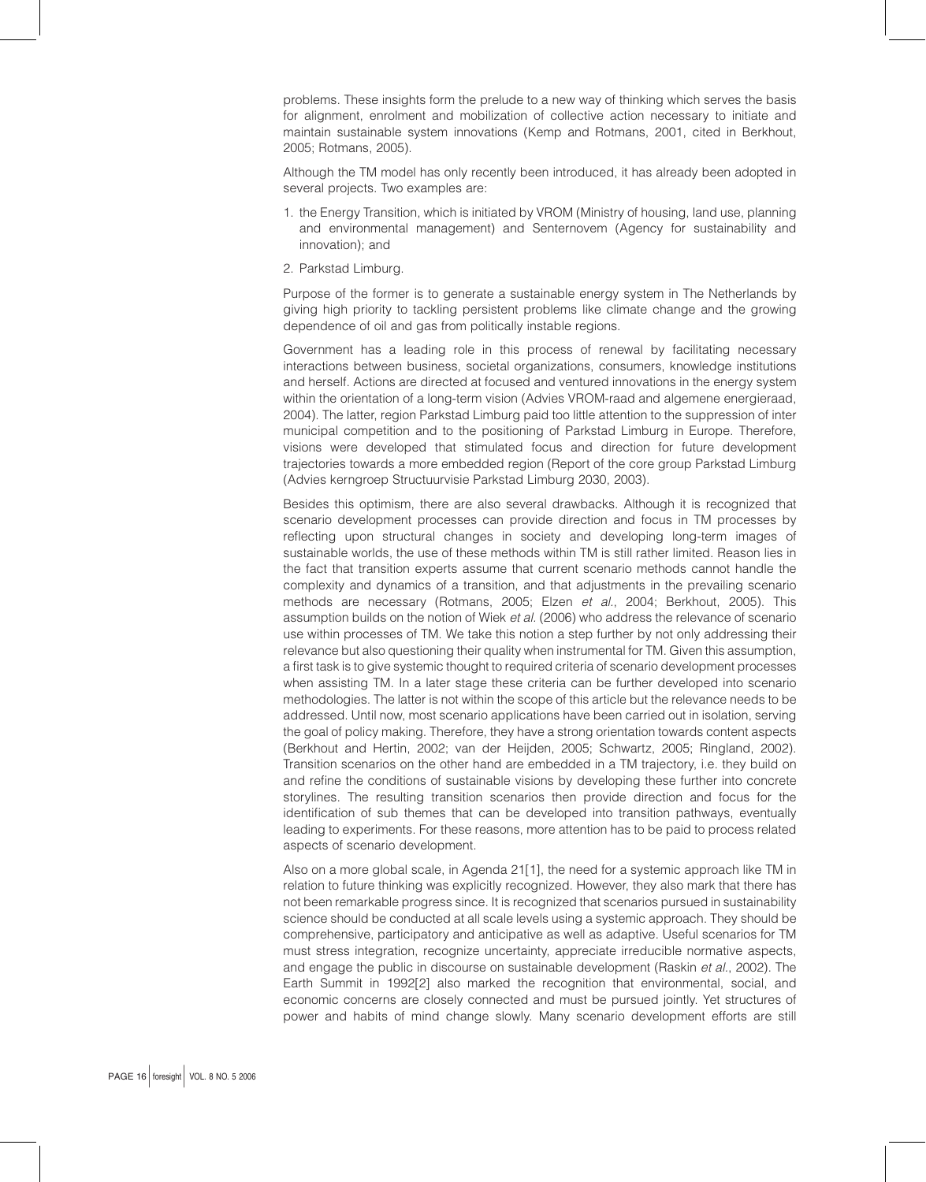problems. These insights form the prelude to a new way of thinking which serves the basis for alignment, enrolment and mobilization of collective action necessary to initiate and maintain sustainable system innovations (Kemp and Rotmans, 2001, cited in Berkhout, 2005; Rotmans, 2005).

Although the TM model has only recently been introduced, it has already been adopted in several projects. Two examples are:

- 1. the Energy Transition, which is initiated by VROM (Ministry of housing, land use, planning and environmental management) and Senternovem (Agency for sustainability and innovation); and
- 2. Parkstad Limburg.

Purpose of the former is to generate a sustainable energy system in The Netherlands by giving high priority to tackling persistent problems like climate change and the growing dependence of oil and gas from politically instable regions.

Government has a leading role in this process of renewal by facilitating necessary interactions between business, societal organizations, consumers, knowledge institutions and herself. Actions are directed at focused and ventured innovations in the energy system within the orientation of a long-term vision (Advies VROM-raad and algemene energieraad, 2004). The latter, region Parkstad Limburg paid too little attention to the suppression of inter municipal competition and to the positioning of Parkstad Limburg in Europe. Therefore, visions were developed that stimulated focus and direction for future development trajectories towards a more embedded region (Report of the core group Parkstad Limburg (Advies kerngroep Structuurvisie Parkstad Limburg 2030, 2003).

Besides this optimism, there are also several drawbacks. Although it is recognized that scenario development processes can provide direction and focus in TM processes by reflecting upon structural changes in society and developing long-term images of sustainable worlds, the use of these methods within TM is still rather limited. Reason lies in the fact that transition experts assume that current scenario methods cannot handle the complexity and dynamics of a transition, and that adjustments in the prevailing scenario methods are necessary (Rotmans, 2005; Elzen et al., 2004; Berkhout, 2005). This assumption builds on the notion of Wiek et al. (2006) who address the relevance of scenario use within processes of TM. We take this notion a step further by not only addressing their relevance but also questioning their quality when instrumental for TM. Given this assumption, a first task is to give systemic thought to required criteria of scenario development processes when assisting TM. In a later stage these criteria can be further developed into scenario methodologies. The latter is not within the scope of this article but the relevance needs to be addressed. Until now, most scenario applications have been carried out in isolation, serving the goal of policy making. Therefore, they have a strong orientation towards content aspects (Berkhout and Hertin, 2002; van der Heijden, 2005; Schwartz, 2005; Ringland, 2002). Transition scenarios on the other hand are embedded in a TM trajectory, i.e. they build on and refine the conditions of sustainable visions by developing these further into concrete storylines. The resulting transition scenarios then provide direction and focus for the identification of sub themes that can be developed into transition pathways, eventually leading to experiments. For these reasons, more attention has to be paid to process related aspects of scenario development.

Also on a more global scale, in Agenda 21[1], the need for a systemic approach like TM in relation to future thinking was explicitly recognized. However, they also mark that there has not been remarkable progress since. It is recognized that scenarios pursued in sustainability science should be conducted at all scale levels using a systemic approach. They should be comprehensive, participatory and anticipative as well as adaptive. Useful scenarios for TM must stress integration, recognize uncertainty, appreciate irreducible normative aspects, and engage the public in discourse on sustainable development (Raskin et al., 2002). The Earth Summit in 1992[2] also marked the recognition that environmental, social, and economic concerns are closely connected and must be pursued jointly. Yet structures of power and habits of mind change slowly. Many scenario development efforts are still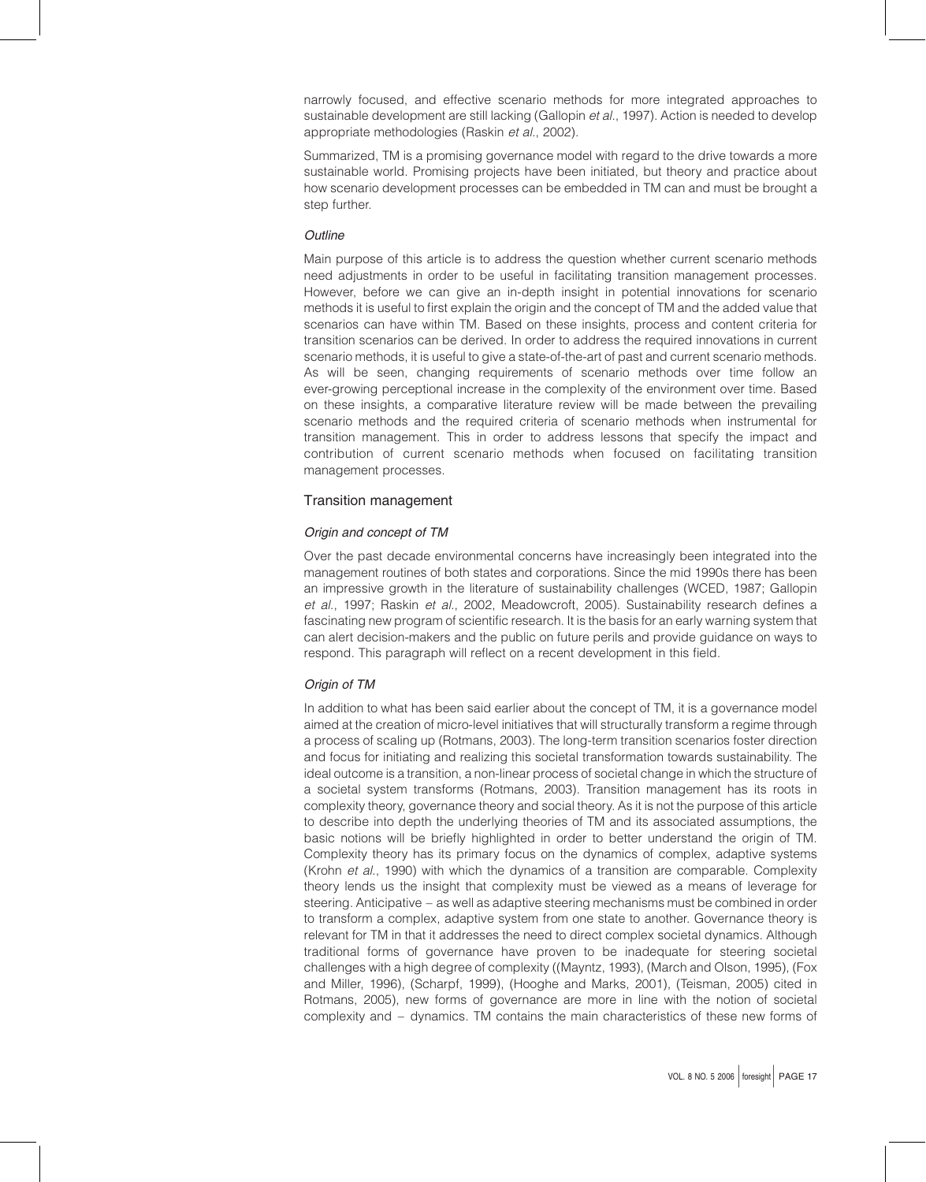narrowly focused, and effective scenario methods for more integrated approaches to sustainable development are still lacking (Gallopin et al., 1997). Action is needed to develop appropriate methodologies (Raskin et al., 2002).

Summarized, TM is a promising governance model with regard to the drive towards a more sustainable world. Promising projects have been initiated, but theory and practice about how scenario development processes can be embedded in TM can and must be brought a step further.

#### **Outline**

Main purpose of this article is to address the question whether current scenario methods need adjustments in order to be useful in facilitating transition management processes. However, before we can give an in-depth insight in potential innovations for scenario methods it is useful to first explain the origin and the concept of TM and the added value that scenarios can have within TM. Based on these insights, process and content criteria for transition scenarios can be derived. In order to address the required innovations in current scenario methods, it is useful to give a state-of-the-art of past and current scenario methods. As will be seen, changing requirements of scenario methods over time follow an ever-growing perceptional increase in the complexity of the environment over time. Based on these insights, a comparative literature review will be made between the prevailing scenario methods and the required criteria of scenario methods when instrumental for transition management. This in order to address lessons that specify the impact and contribution of current scenario methods when focused on facilitating transition management processes.

## Transition management

# Origin and concept of TM

Over the past decade environmental concerns have increasingly been integrated into the management routines of both states and corporations. Since the mid 1990s there has been an impressive growth in the literature of sustainability challenges (WCED, 1987; Gallopin et al., 1997; Raskin et al., 2002, Meadowcroft, 2005). Sustainability research defines a fascinating new program of scientific research. It is the basis for an early warning system that can alert decision-makers and the public on future perils and provide guidance on ways to respond. This paragraph will reflect on a recent development in this field.

# Origin of TM

In addition to what has been said earlier about the concept of TM, it is a governance model aimed at the creation of micro-level initiatives that will structurally transform a regime through a process of scaling up (Rotmans, 2003). The long-term transition scenarios foster direction and focus for initiating and realizing this societal transformation towards sustainability. The ideal outcome is a transition, a non-linear process of societal change in which the structure of a societal system transforms (Rotmans, 2003). Transition management has its roots in complexity theory, governance theory and social theory. As it is not the purpose of this article to describe into depth the underlying theories of TM and its associated assumptions, the basic notions will be briefly highlighted in order to better understand the origin of TM. Complexity theory has its primary focus on the dynamics of complex, adaptive systems (Krohn et al., 1990) with which the dynamics of a transition are comparable. Complexity theory lends us the insight that complexity must be viewed as a means of leverage for steering. Anticipative – as well as adaptive steering mechanisms must be combined in order to transform a complex, adaptive system from one state to another. Governance theory is relevant for TM in that it addresses the need to direct complex societal dynamics. Although traditional forms of governance have proven to be inadequate for steering societal challenges with a high degree of complexity ((Mayntz, 1993), (March and Olson, 1995), (Fox and Miller, 1996), (Scharpf, 1999), (Hooghe and Marks, 2001), (Teisman, 2005) cited in Rotmans, 2005), new forms of governance are more in line with the notion of societal complexity and – dynamics. TM contains the main characteristics of these new forms of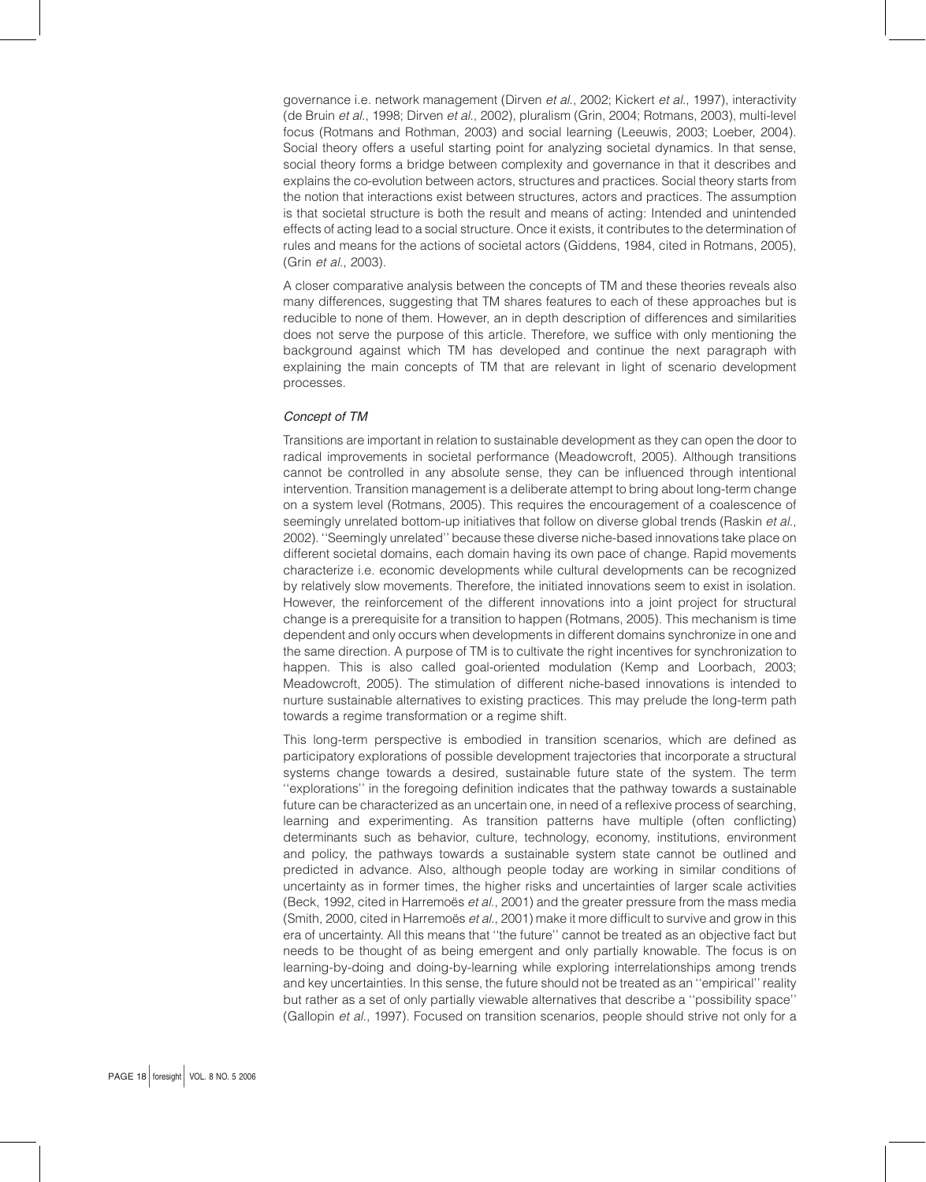governance i.e. network management (Dirven et al., 2002; Kickert et al., 1997), interactivity (de Bruin et al., 1998; Dirven et al., 2002), pluralism (Grin, 2004; Rotmans, 2003), multi-level focus (Rotmans and Rothman, 2003) and social learning (Leeuwis, 2003; Loeber, 2004). Social theory offers a useful starting point for analyzing societal dynamics. In that sense, social theory forms a bridge between complexity and governance in that it describes and explains the co-evolution between actors, structures and practices. Social theory starts from the notion that interactions exist between structures, actors and practices. The assumption is that societal structure is both the result and means of acting: Intended and unintended effects of acting lead to a social structure. Once it exists, it contributes to the determination of rules and means for the actions of societal actors (Giddens, 1984, cited in Rotmans, 2005), (Grin et al., 2003).

A closer comparative analysis between the concepts of TM and these theories reveals also many differences, suggesting that TM shares features to each of these approaches but is reducible to none of them. However, an in depth description of differences and similarities does not serve the purpose of this article. Therefore, we suffice with only mentioning the background against which TM has developed and continue the next paragraph with explaining the main concepts of TM that are relevant in light of scenario development processes.

## Concept of TM

Transitions are important in relation to sustainable development as they can open the door to radical improvements in societal performance (Meadowcroft, 2005). Although transitions cannot be controlled in any absolute sense, they can be influenced through intentional intervention. Transition management is a deliberate attempt to bring about long-term change on a system level (Rotmans, 2005). This requires the encouragement of a coalescence of seemingly unrelated bottom-up initiatives that follow on diverse global trends (Raskin *et al.*, 2002). ''Seemingly unrelated'' because these diverse niche-based innovations take place on different societal domains, each domain having its own pace of change. Rapid movements characterize i.e. economic developments while cultural developments can be recognized by relatively slow movements. Therefore, the initiated innovations seem to exist in isolation. However, the reinforcement of the different innovations into a joint project for structural change is a prerequisite for a transition to happen (Rotmans, 2005). This mechanism is time dependent and only occurs when developments in different domains synchronize in one and the same direction. A purpose of TM is to cultivate the right incentives for synchronization to happen. This is also called goal-oriented modulation (Kemp and Loorbach, 2003; Meadowcroft, 2005). The stimulation of different niche-based innovations is intended to nurture sustainable alternatives to existing practices. This may prelude the long-term path towards a regime transformation or a regime shift.

This long-term perspective is embodied in transition scenarios, which are defined as participatory explorations of possible development trajectories that incorporate a structural systems change towards a desired, sustainable future state of the system. The term ''explorations'' in the foregoing definition indicates that the pathway towards a sustainable future can be characterized as an uncertain one, in need of a reflexive process of searching, learning and experimenting. As transition patterns have multiple (often conflicting) determinants such as behavior, culture, technology, economy, institutions, environment and policy, the pathways towards a sustainable system state cannot be outlined and predicted in advance. Also, although people today are working in similar conditions of uncertainty as in former times, the higher risks and uncertainties of larger scale activities (Beck, 1992, cited in Harremoes et al., 2001) and the greater pressure from the mass media (Smith, 2000, cited in Harremoës et al., 2001) make it more difficult to survive and grow in this era of uncertainty. All this means that ''the future'' cannot be treated as an objective fact but needs to be thought of as being emergent and only partially knowable. The focus is on learning-by-doing and doing-by-learning while exploring interrelationships among trends and key uncertainties. In this sense, the future should not be treated as an ''empirical'' reality but rather as a set of only partially viewable alternatives that describe a ''possibility space'' (Gallopin et al., 1997). Focused on transition scenarios, people should strive not only for a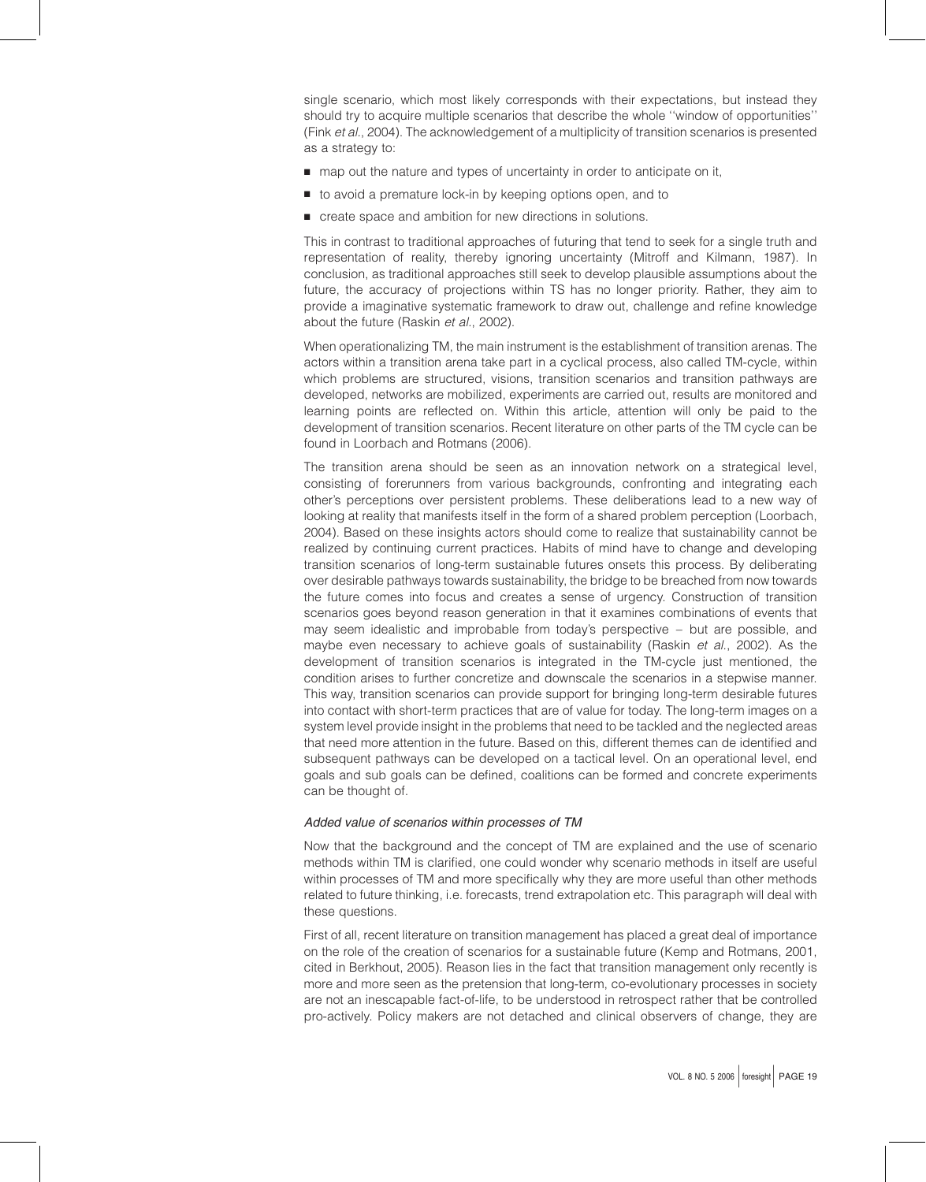single scenario, which most likely corresponds with their expectations, but instead they should try to acquire multiple scenarios that describe the whole ''window of opportunities'' (Fink et al., 2004). The acknowledgement of a multiplicity of transition scenarios is presented as a strategy to:

- $\blacksquare$  map out the nature and types of uncertainty in order to anticipate on it,
- $\blacksquare$  to avoid a premature lock-in by keeping options open, and to
- create space and ambition for new directions in solutions.

This in contrast to traditional approaches of futuring that tend to seek for a single truth and representation of reality, thereby ignoring uncertainty (Mitroff and Kilmann, 1987). In conclusion, as traditional approaches still seek to develop plausible assumptions about the future, the accuracy of projections within TS has no longer priority. Rather, they aim to provide a imaginative systematic framework to draw out, challenge and refine knowledge about the future (Raskin et al., 2002).

When operationalizing TM, the main instrument is the establishment of transition arenas. The actors within a transition arena take part in a cyclical process, also called TM-cycle, within which problems are structured, visions, transition scenarios and transition pathways are developed, networks are mobilized, experiments are carried out, results are monitored and learning points are reflected on. Within this article, attention will only be paid to the development of transition scenarios. Recent literature on other parts of the TM cycle can be found in Loorbach and Rotmans (2006).

The transition arena should be seen as an innovation network on a strategical level, consisting of forerunners from various backgrounds, confronting and integrating each other's perceptions over persistent problems. These deliberations lead to a new way of looking at reality that manifests itself in the form of a shared problem perception (Loorbach, 2004). Based on these insights actors should come to realize that sustainability cannot be realized by continuing current practices. Habits of mind have to change and developing transition scenarios of long-term sustainable futures onsets this process. By deliberating over desirable pathways towards sustainability, the bridge to be breached from now towards the future comes into focus and creates a sense of urgency. Construction of transition scenarios goes beyond reason generation in that it examines combinations of events that may seem idealistic and improbable from today's perspective – but are possible, and maybe even necessary to achieve goals of sustainability (Raskin et al., 2002). As the development of transition scenarios is integrated in the TM-cycle just mentioned, the condition arises to further concretize and downscale the scenarios in a stepwise manner. This way, transition scenarios can provide support for bringing long-term desirable futures into contact with short-term practices that are of value for today. The long-term images on a system level provide insight in the problems that need to be tackled and the neglected areas that need more attention in the future. Based on this, different themes can de identified and subsequent pathways can be developed on a tactical level. On an operational level, end goals and sub goals can be defined, coalitions can be formed and concrete experiments can be thought of.

#### Added value of scenarios within processes of TM

Now that the background and the concept of TM are explained and the use of scenario methods within TM is clarified, one could wonder why scenario methods in itself are useful within processes of TM and more specifically why they are more useful than other methods related to future thinking, i.e. forecasts, trend extrapolation etc. This paragraph will deal with these questions.

First of all, recent literature on transition management has placed a great deal of importance on the role of the creation of scenarios for a sustainable future (Kemp and Rotmans, 2001, cited in Berkhout, 2005). Reason lies in the fact that transition management only recently is more and more seen as the pretension that long-term, co-evolutionary processes in society are not an inescapable fact-of-life, to be understood in retrospect rather that be controlled pro-actively. Policy makers are not detached and clinical observers of change, they are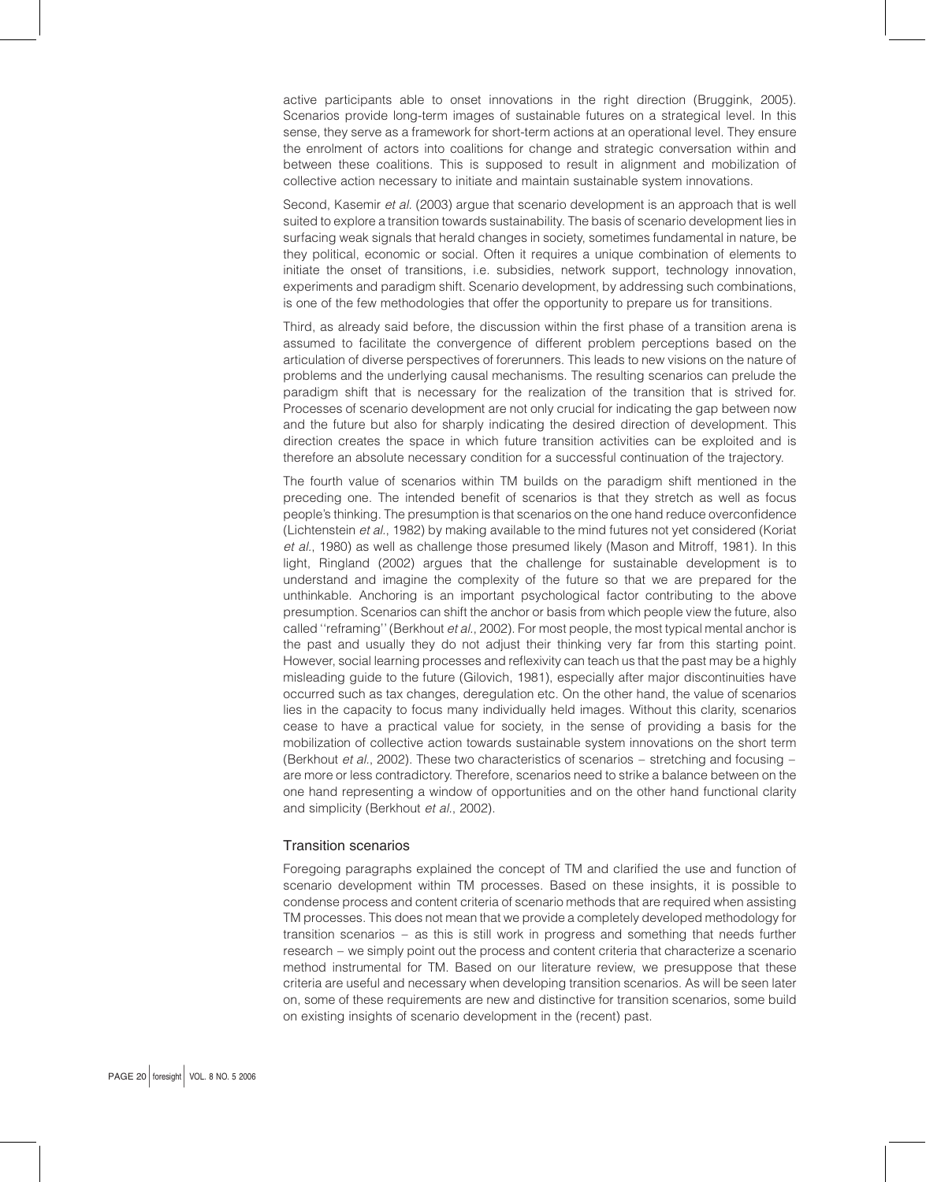active participants able to onset innovations in the right direction (Bruggink, 2005). Scenarios provide long-term images of sustainable futures on a strategical level. In this sense, they serve as a framework for short-term actions at an operational level. They ensure the enrolment of actors into coalitions for change and strategic conversation within and between these coalitions. This is supposed to result in alignment and mobilization of collective action necessary to initiate and maintain sustainable system innovations.

Second, Kasemir et al. (2003) argue that scenario development is an approach that is well suited to explore a transition towards sustainability. The basis of scenario development lies in surfacing weak signals that herald changes in society, sometimes fundamental in nature, be they political, economic or social. Often it requires a unique combination of elements to initiate the onset of transitions, i.e. subsidies, network support, technology innovation, experiments and paradigm shift. Scenario development, by addressing such combinations, is one of the few methodologies that offer the opportunity to prepare us for transitions.

Third, as already said before, the discussion within the first phase of a transition arena is assumed to facilitate the convergence of different problem perceptions based on the articulation of diverse perspectives of forerunners. This leads to new visions on the nature of problems and the underlying causal mechanisms. The resulting scenarios can prelude the paradigm shift that is necessary for the realization of the transition that is strived for. Processes of scenario development are not only crucial for indicating the gap between now and the future but also for sharply indicating the desired direction of development. This direction creates the space in which future transition activities can be exploited and is therefore an absolute necessary condition for a successful continuation of the trajectory.

The fourth value of scenarios within TM builds on the paradigm shift mentioned in the preceding one. The intended benefit of scenarios is that they stretch as well as focus people's thinking. The presumption is that scenarios on the one hand reduce overconfidence (Lichtenstein et al., 1982) by making available to the mind futures not yet considered (Koriat et al., 1980) as well as challenge those presumed likely (Mason and Mitroff, 1981). In this light, Ringland (2002) argues that the challenge for sustainable development is to understand and imagine the complexity of the future so that we are prepared for the unthinkable. Anchoring is an important psychological factor contributing to the above presumption. Scenarios can shift the anchor or basis from which people view the future, also called "reframing" (Berkhout et al., 2002). For most people, the most typical mental anchor is the past and usually they do not adjust their thinking very far from this starting point. However, social learning processes and reflexivity can teach us that the past may be a highly misleading guide to the future (Gilovich, 1981), especially after major discontinuities have occurred such as tax changes, deregulation etc. On the other hand, the value of scenarios lies in the capacity to focus many individually held images. Without this clarity, scenarios cease to have a practical value for society, in the sense of providing a basis for the mobilization of collective action towards sustainable system innovations on the short term (Berkhout et al., 2002). These two characteristics of scenarios – stretching and focusing – are more or less contradictory. Therefore, scenarios need to strike a balance between on the one hand representing a window of opportunities and on the other hand functional clarity and simplicity (Berkhout et al., 2002).

## Transition scenarios

Foregoing paragraphs explained the concept of TM and clarified the use and function of scenario development within TM processes. Based on these insights, it is possible to condense process and content criteria of scenario methods that are required when assisting TM processes. This does not mean that we provide a completely developed methodology for transition scenarios – as this is still work in progress and something that needs further research – we simply point out the process and content criteria that characterize a scenario method instrumental for TM. Based on our literature review, we presuppose that these criteria are useful and necessary when developing transition scenarios. As will be seen later on, some of these requirements are new and distinctive for transition scenarios, some build on existing insights of scenario development in the (recent) past.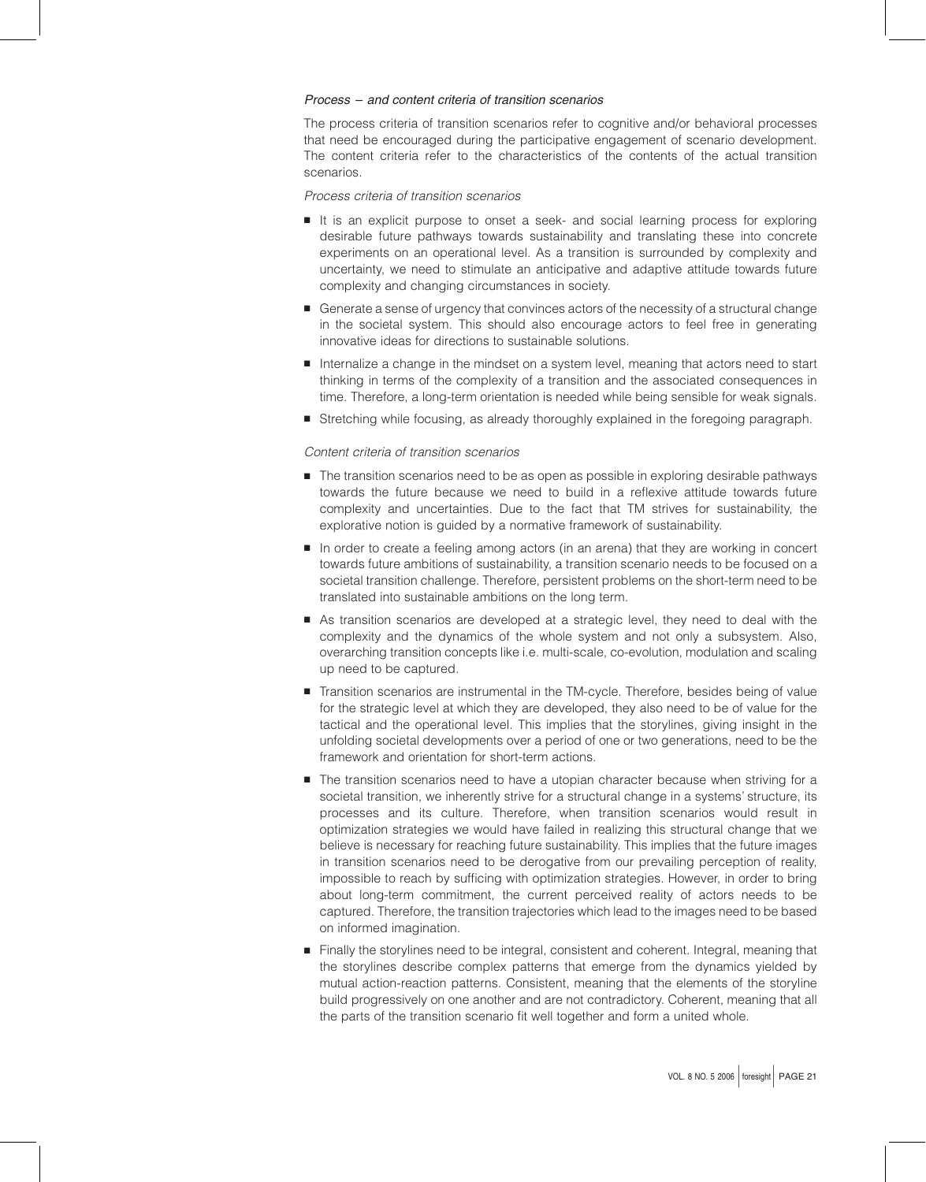#### Process – and content criteria of transition scenarios

The process criteria of transition scenarios refer to cognitive and/or behavioral processes that need be encouraged during the participative engagement of scenario development. The content criteria refer to the characteristics of the contents of the actual transition scenarios.

## Process criteria of transition scenarios

- It is an explicit purpose to onset a seek- and social learning process for exploring desirable future pathways towards sustainability and translating these into concrete experiments on an operational level. As a transition is surrounded by complexity and uncertainty, we need to stimulate an anticipative and adaptive attitude towards future complexity and changing circumstances in society.
- Generate a sense of urgency that convinces actors of the necessity of a structural change in the societal system. This should also encourage actors to feel free in generating innovative ideas for directions to sustainable solutions.
- **Internalize a change in the mindset on a system level, meaning that actors need to start** thinking in terms of the complexity of a transition and the associated consequences in time. Therefore, a long-term orientation is needed while being sensible for weak signals.
- **B** Stretching while focusing, as already thoroughly explained in the foregoing paragraph.

#### Content criteria of transition scenarios

- **B** The transition scenarios need to be as open as possible in exploring desirable pathways towards the future because we need to build in a reflexive attitude towards future complexity and uncertainties. Due to the fact that TM strives for sustainability, the explorative notion is guided by a normative framework of sustainability.
- **In order to create a feeling among actors (in an arena) that they are working in concert** towards future ambitions of sustainability, a transition scenario needs to be focused on a societal transition challenge. Therefore, persistent problems on the short-term need to be translated into sustainable ambitions on the long term.
- **B** As transition scenarios are developed at a strategic level, they need to deal with the complexity and the dynamics of the whole system and not only a subsystem. Also, overarching transition concepts like i.e. multi-scale, co-evolution, modulation and scaling up need to be captured.
- **F** Transition scenarios are instrumental in the TM-cycle. Therefore, besides being of value for the strategic level at which they are developed, they also need to be of value for the tactical and the operational level. This implies that the storylines, giving insight in the unfolding societal developments over a period of one or two generations, need to be the framework and orientation for short-term actions.
- **B** The transition scenarios need to have a utopian character because when striving for a societal transition, we inherently strive for a structural change in a systems' structure, its processes and its culture. Therefore, when transition scenarios would result in optimization strategies we would have failed in realizing this structural change that we believe is necessary for reaching future sustainability. This implies that the future images in transition scenarios need to be derogative from our prevailing perception of reality, impossible to reach by sufficing with optimization strategies. However, in order to bring about long-term commitment, the current perceived reality of actors needs to be captured. Therefore, the transition trajectories which lead to the images need to be based on informed imagination.
- **Finally the storylines need to be integral, consistent and coherent. Integral, meaning that** the storylines describe complex patterns that emerge from the dynamics yielded by mutual action-reaction patterns. Consistent, meaning that the elements of the storyline build progressively on one another and are not contradictory. Coherent, meaning that all the parts of the transition scenario fit well together and form a united whole.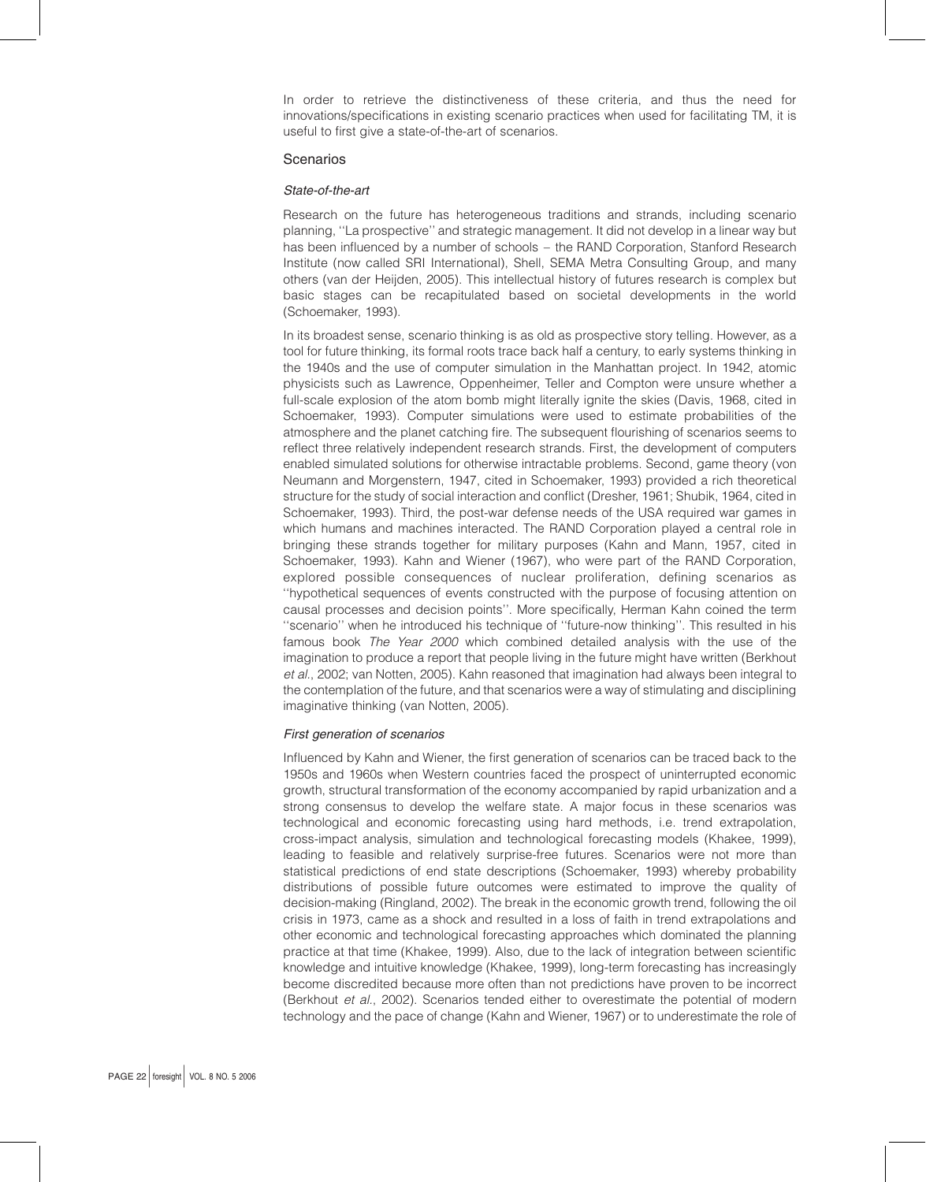In order to retrieve the distinctiveness of these criteria, and thus the need for innovations/specifications in existing scenario practices when used for facilitating TM, it is useful to first give a state-of-the-art of scenarios.

## **Scenarios**

#### State-of-the-art

Research on the future has heterogeneous traditions and strands, including scenario planning, ''La prospective'' and strategic management. It did not develop in a linear way but has been influenced by a number of schools – the RAND Corporation, Stanford Research Institute (now called SRI International), Shell, SEMA Metra Consulting Group, and many others (van der Heijden, 2005). This intellectual history of futures research is complex but basic stages can be recapitulated based on societal developments in the world (Schoemaker, 1993).

In its broadest sense, scenario thinking is as old as prospective story telling. However, as a tool for future thinking, its formal roots trace back half a century, to early systems thinking in the 1940s and the use of computer simulation in the Manhattan project. In 1942, atomic physicists such as Lawrence, Oppenheimer, Teller and Compton were unsure whether a full-scale explosion of the atom bomb might literally ignite the skies (Davis, 1968, cited in Schoemaker, 1993). Computer simulations were used to estimate probabilities of the atmosphere and the planet catching fire. The subsequent flourishing of scenarios seems to reflect three relatively independent research strands. First, the development of computers enabled simulated solutions for otherwise intractable problems. Second, game theory (von Neumann and Morgenstern, 1947, cited in Schoemaker, 1993) provided a rich theoretical structure for the study of social interaction and conflict (Dresher, 1961; Shubik, 1964, cited in Schoemaker, 1993). Third, the post-war defense needs of the USA required war games in which humans and machines interacted. The RAND Corporation played a central role in bringing these strands together for military purposes (Kahn and Mann, 1957, cited in Schoemaker, 1993). Kahn and Wiener (1967), who were part of the RAND Corporation, explored possible consequences of nuclear proliferation, defining scenarios as ''hypothetical sequences of events constructed with the purpose of focusing attention on causal processes and decision points''. More specifically, Herman Kahn coined the term ''scenario'' when he introduced his technique of ''future-now thinking''. This resulted in his famous book The Year 2000 which combined detailed analysis with the use of the imagination to produce a report that people living in the future might have written (Berkhout et al., 2002; van Notten, 2005). Kahn reasoned that imagination had always been integral to the contemplation of the future, and that scenarios were a way of stimulating and disciplining imaginative thinking (van Notten, 2005).

## First generation of scenarios

Influenced by Kahn and Wiener, the first generation of scenarios can be traced back to the 1950s and 1960s when Western countries faced the prospect of uninterrupted economic growth, structural transformation of the economy accompanied by rapid urbanization and a strong consensus to develop the welfare state. A major focus in these scenarios was technological and economic forecasting using hard methods, i.e. trend extrapolation, cross-impact analysis, simulation and technological forecasting models (Khakee, 1999), leading to feasible and relatively surprise-free futures. Scenarios were not more than statistical predictions of end state descriptions (Schoemaker, 1993) whereby probability distributions of possible future outcomes were estimated to improve the quality of decision-making (Ringland, 2002). The break in the economic growth trend, following the oil crisis in 1973, came as a shock and resulted in a loss of faith in trend extrapolations and other economic and technological forecasting approaches which dominated the planning practice at that time (Khakee, 1999). Also, due to the lack of integration between scientific knowledge and intuitive knowledge (Khakee, 1999), long-term forecasting has increasingly become discredited because more often than not predictions have proven to be incorrect (Berkhout et al., 2002). Scenarios tended either to overestimate the potential of modern technology and the pace of change (Kahn and Wiener, 1967) or to underestimate the role of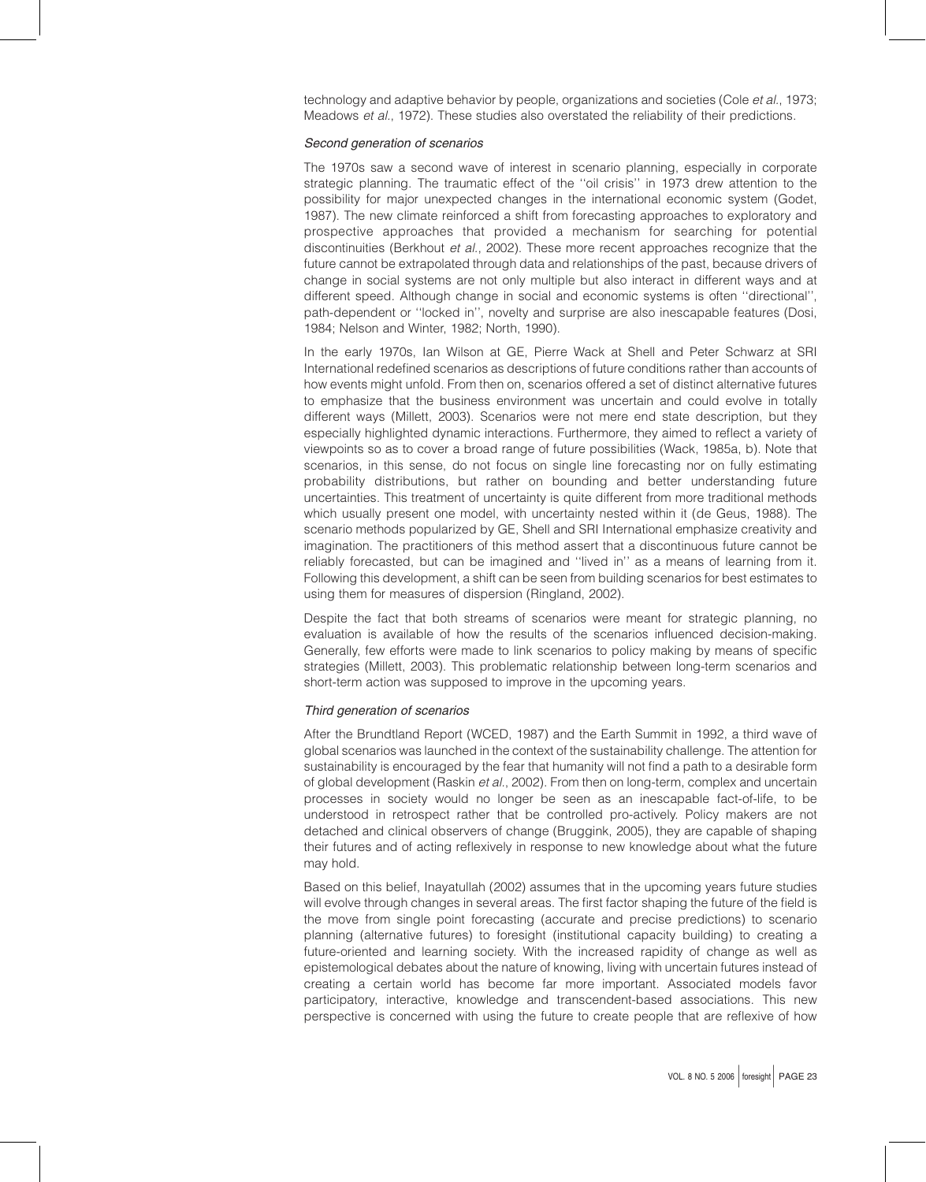technology and adaptive behavior by people, organizations and societies (Cole et al., 1973; Meadows et al., 1972). These studies also overstated the reliability of their predictions.

#### Second generation of scenarios

The 1970s saw a second wave of interest in scenario planning, especially in corporate strategic planning. The traumatic effect of the ''oil crisis'' in 1973 drew attention to the possibility for major unexpected changes in the international economic system (Godet, 1987). The new climate reinforced a shift from forecasting approaches to exploratory and prospective approaches that provided a mechanism for searching for potential discontinuities (Berkhout et al., 2002). These more recent approaches recognize that the future cannot be extrapolated through data and relationships of the past, because drivers of change in social systems are not only multiple but also interact in different ways and at different speed. Although change in social and economic systems is often ''directional'', path-dependent or ''locked in'', novelty and surprise are also inescapable features (Dosi, 1984; Nelson and Winter, 1982; North, 1990).

In the early 1970s, Ian Wilson at GE, Pierre Wack at Shell and Peter Schwarz at SRI International redefined scenarios as descriptions of future conditions rather than accounts of how events might unfold. From then on, scenarios offered a set of distinct alternative futures to emphasize that the business environment was uncertain and could evolve in totally different ways (Millett, 2003). Scenarios were not mere end state description, but they especially highlighted dynamic interactions. Furthermore, they aimed to reflect a variety of viewpoints so as to cover a broad range of future possibilities (Wack, 1985a, b). Note that scenarios, in this sense, do not focus on single line forecasting nor on fully estimating probability distributions, but rather on bounding and better understanding future uncertainties. This treatment of uncertainty is quite different from more traditional methods which usually present one model, with uncertainty nested within it (de Geus, 1988). The scenario methods popularized by GE, Shell and SRI International emphasize creativity and imagination. The practitioners of this method assert that a discontinuous future cannot be reliably forecasted, but can be imagined and ''lived in'' as a means of learning from it. Following this development, a shift can be seen from building scenarios for best estimates to using them for measures of dispersion (Ringland, 2002).

Despite the fact that both streams of scenarios were meant for strategic planning, no evaluation is available of how the results of the scenarios influenced decision-making. Generally, few efforts were made to link scenarios to policy making by means of specific strategies (Millett, 2003). This problematic relationship between long-term scenarios and short-term action was supposed to improve in the upcoming years.

# Third generation of scenarios

After the Brundtland Report (WCED, 1987) and the Earth Summit in 1992, a third wave of global scenarios was launched in the context of the sustainability challenge. The attention for sustainability is encouraged by the fear that humanity will not find a path to a desirable form of global development (Raskin et al., 2002). From then on long-term, complex and uncertain processes in society would no longer be seen as an inescapable fact-of-life, to be understood in retrospect rather that be controlled pro-actively. Policy makers are not detached and clinical observers of change (Bruggink, 2005), they are capable of shaping their futures and of acting reflexively in response to new knowledge about what the future may hold.

Based on this belief, Inayatullah (2002) assumes that in the upcoming years future studies will evolve through changes in several areas. The first factor shaping the future of the field is the move from single point forecasting (accurate and precise predictions) to scenario planning (alternative futures) to foresight (institutional capacity building) to creating a future-oriented and learning society. With the increased rapidity of change as well as epistemological debates about the nature of knowing, living with uncertain futures instead of creating a certain world has become far more important. Associated models favor participatory, interactive, knowledge and transcendent-based associations. This new perspective is concerned with using the future to create people that are reflexive of how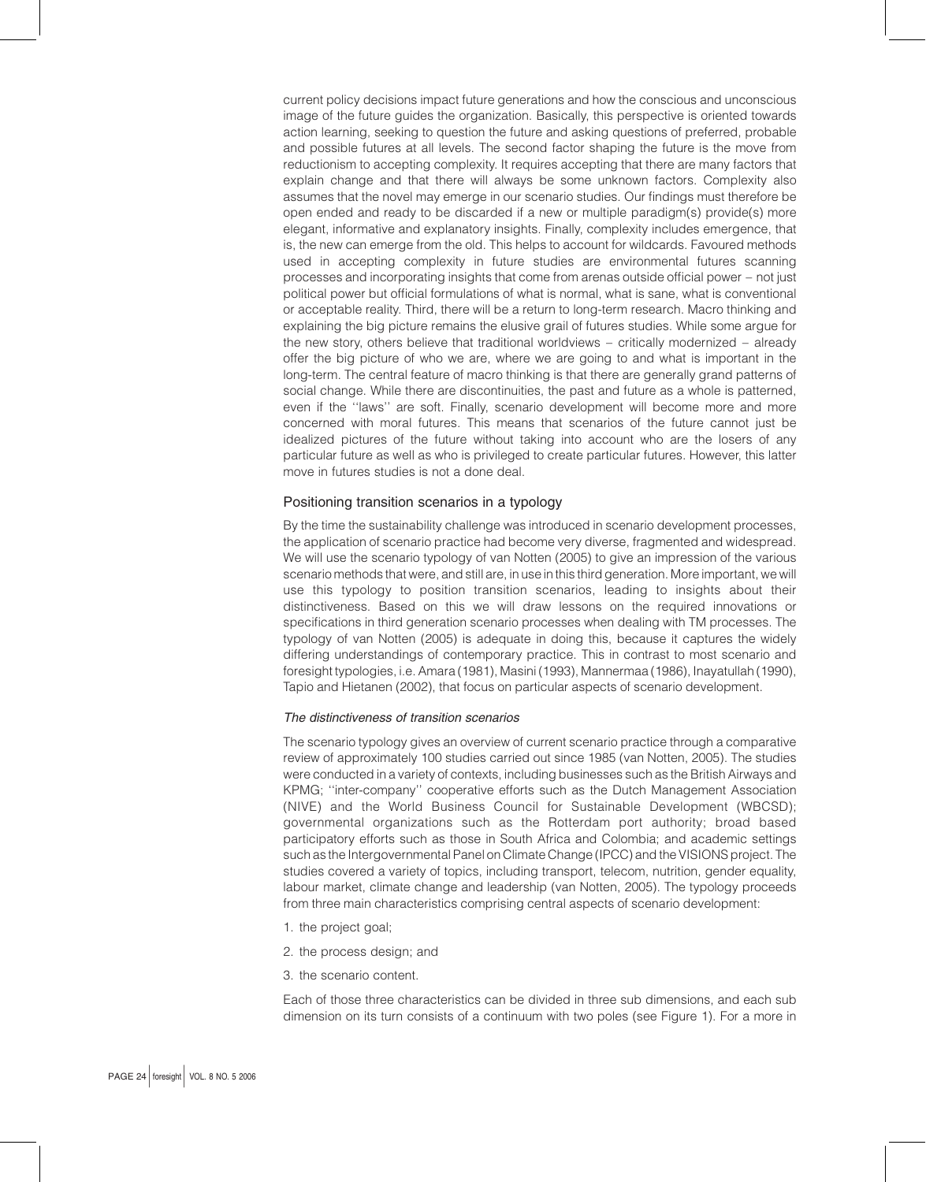current policy decisions impact future generations and how the conscious and unconscious image of the future guides the organization. Basically, this perspective is oriented towards action learning, seeking to question the future and asking questions of preferred, probable and possible futures at all levels. The second factor shaping the future is the move from reductionism to accepting complexity. It requires accepting that there are many factors that explain change and that there will always be some unknown factors. Complexity also assumes that the novel may emerge in our scenario studies. Our findings must therefore be open ended and ready to be discarded if a new or multiple paradigm(s) provide(s) more elegant, informative and explanatory insights. Finally, complexity includes emergence, that is, the new can emerge from the old. This helps to account for wildcards. Favoured methods used in accepting complexity in future studies are environmental futures scanning processes and incorporating insights that come from arenas outside official power – not just political power but official formulations of what is normal, what is sane, what is conventional or acceptable reality. Third, there will be a return to long-term research. Macro thinking and explaining the big picture remains the elusive grail of futures studies. While some argue for the new story, others believe that traditional worldviews – critically modernized – already offer the big picture of who we are, where we are going to and what is important in the long-term. The central feature of macro thinking is that there are generally grand patterns of social change. While there are discontinuities, the past and future as a whole is patterned, even if the ''laws'' are soft. Finally, scenario development will become more and more concerned with moral futures. This means that scenarios of the future cannot just be idealized pictures of the future without taking into account who are the losers of any particular future as well as who is privileged to create particular futures. However, this latter move in futures studies is not a done deal.

## Positioning transition scenarios in a typology

By the time the sustainability challenge was introduced in scenario development processes, the application of scenario practice had become very diverse, fragmented and widespread. We will use the scenario typology of van Notten (2005) to give an impression of the various scenario methods that were, and still are, in use in this third generation. More important, we will use this typology to position transition scenarios, leading to insights about their distinctiveness. Based on this we will draw lessons on the required innovations or specifications in third generation scenario processes when dealing with TM processes. The typology of van Notten (2005) is adequate in doing this, because it captures the widely differing understandings of contemporary practice. This in contrast to most scenario and foresight typologies, i.e. Amara (1981), Masini (1993), Mannermaa (1986), Inayatullah (1990), Tapio and Hietanen (2002), that focus on particular aspects of scenario development.

#### The distinctiveness of transition scenarios

The scenario typology gives an overview of current scenario practice through a comparative review of approximately 100 studies carried out since 1985 (van Notten, 2005). The studies were conducted in a variety of contexts, including businesses such as the British Airways and KPMG; ''inter-company'' cooperative efforts such as the Dutch Management Association (NIVE) and the World Business Council for Sustainable Development (WBCSD); governmental organizations such as the Rotterdam port authority; broad based participatory efforts such as those in South Africa and Colombia; and academic settings such as the Intergovernmental Panel on Climate Change (IPCC) and the VISIONS project. The studies covered a variety of topics, including transport, telecom, nutrition, gender equality, labour market, climate change and leadership (van Notten, 2005). The typology proceeds from three main characteristics comprising central aspects of scenario development:

- 1. the project goal;
- 2. the process design; and
- 3. the scenario content.

Each of those three characteristics can be divided in three sub dimensions, and each sub dimension on its turn consists of a continuum with two poles (see Figure 1). For a more in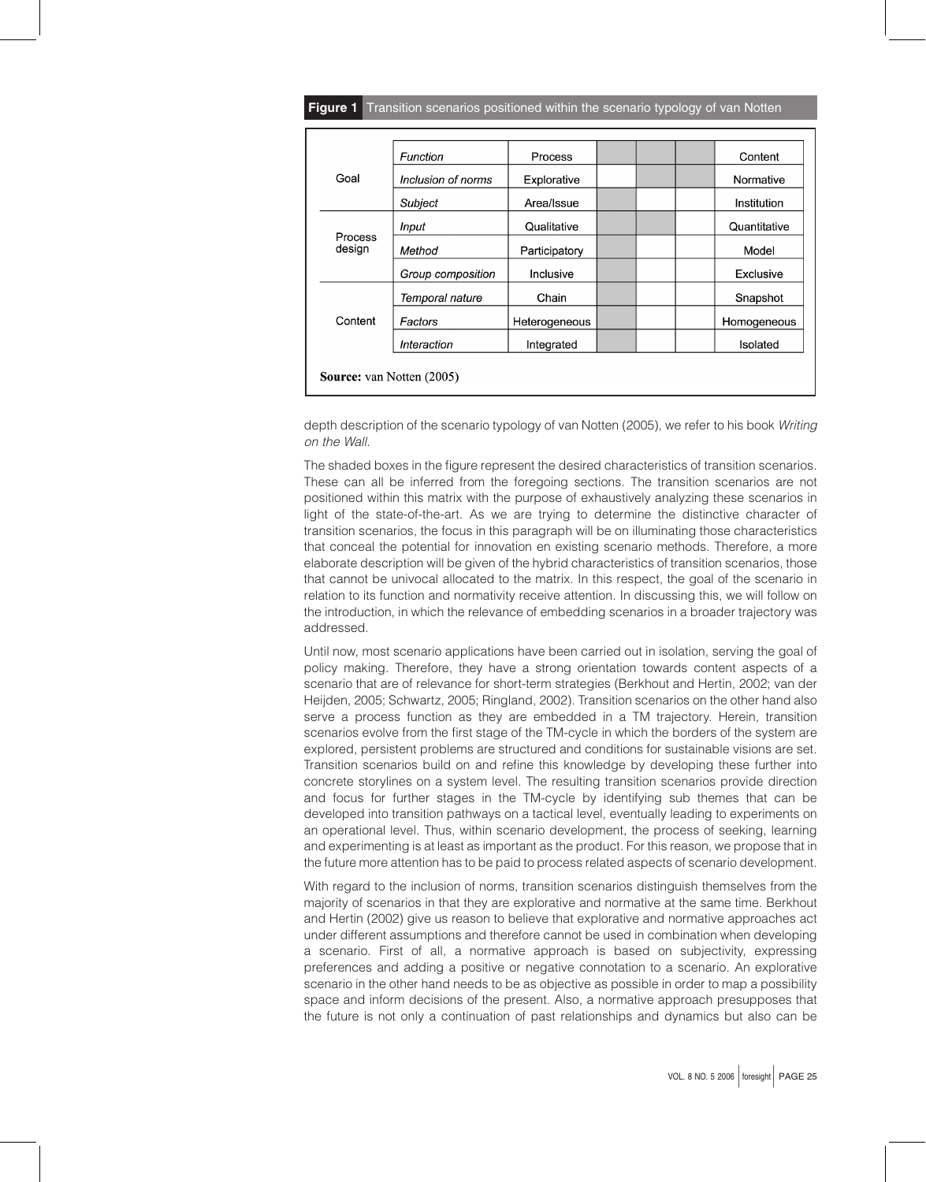**Figure 1** Transition scenarios positioned within the scenario typology of van Notten

|                                  | Function           | Process       |  |  |  | Content      |
|----------------------------------|--------------------|---------------|--|--|--|--------------|
| Goal                             | Inclusion of norms | Explorative   |  |  |  | Normative    |
|                                  | Subject            | Area/Issue    |  |  |  | Institution  |
| Process<br>design                | Input              | Qualitative   |  |  |  | Quantitative |
|                                  | Method             | Participatory |  |  |  | Model        |
|                                  | Group composition  | Inclusive     |  |  |  | Exclusive    |
| Content                          | Temporal nature    | Chain         |  |  |  | Snapshot     |
|                                  | Factors            | Heterogeneous |  |  |  | Homogeneous  |
|                                  | Interaction        | Integrated    |  |  |  | Isolated     |
| <b>Source:</b> van Notten (2005) |                    |               |  |  |  |              |

depth description of the scenario typology of van Notten (2005), we refer to his book Writing on the Wall.

The shaded boxes in the figure represent the desired characteristics of transition scenarios. These can all be inferred from the foregoing sections. The transition scenarios are not positioned within this matrix with the purpose of exhaustively analyzing these scenarios in light of the state-of-the-art. As we are trying to determine the distinctive character of transition scenarios, the focus in this paragraph will be on illuminating those characteristics that conceal the potential for innovation en existing scenario methods. Therefore, a more elaborate description will be given of the hybrid characteristics of transition scenarios, those that cannot be univocal allocated to the matrix. In this respect, the goal of the scenario in relation to its function and normativity receive attention. In discussing this, we will follow on the introduction, in which the relevance of embedding scenarios in a broader trajectory was addressed.

Until now, most scenario applications have been carried out in isolation, serving the goal of policy making. Therefore, they have a strong orientation towards content aspects of a scenario that are of relevance for short-term strategies (Berkhout and Hertin, 2002; van der Heijden, 2005; Schwartz, 2005; Ringland, 2002). Transition scenarios on the other hand also serve a process function as they are embedded in a TM trajectory. Herein, transition scenarios evolve from the first stage of the TM-cycle in which the borders of the system are explored, persistent problems are structured and conditions for sustainable visions are set. Transition scenarios build on and refine this knowledge by developing these further into concrete storylines on a system level. The resulting transition scenarios provide direction and focus for further stages in the TM-cycle by identifying sub themes that can be developed into transition pathways on a tactical level, eventually leading to experiments on an operational level. Thus, within scenario development, the process of seeking, learning and experimenting is at least as important as the product. For this reason, we propose that in the future more attention has to be paid to process related aspects of scenario development.

With regard to the inclusion of norms, transition scenarios distinguish themselves from the majority of scenarios in that they are explorative and normative at the same time. Berkhout and Hertin (2002) give us reason to believe that explorative and normative approaches act under different assumptions and therefore cannot be used in combination when developing a scenario. First of all, a normative approach is based on subjectivity, expressing preferences and adding a positive or negative connotation to a scenario. An explorative scenario in the other hand needs to be as objective as possible in order to map a possibility space and inform decisions of the present. Also, a normative approach presupposes that the future is not only a continuation of past relationships and dynamics but also can be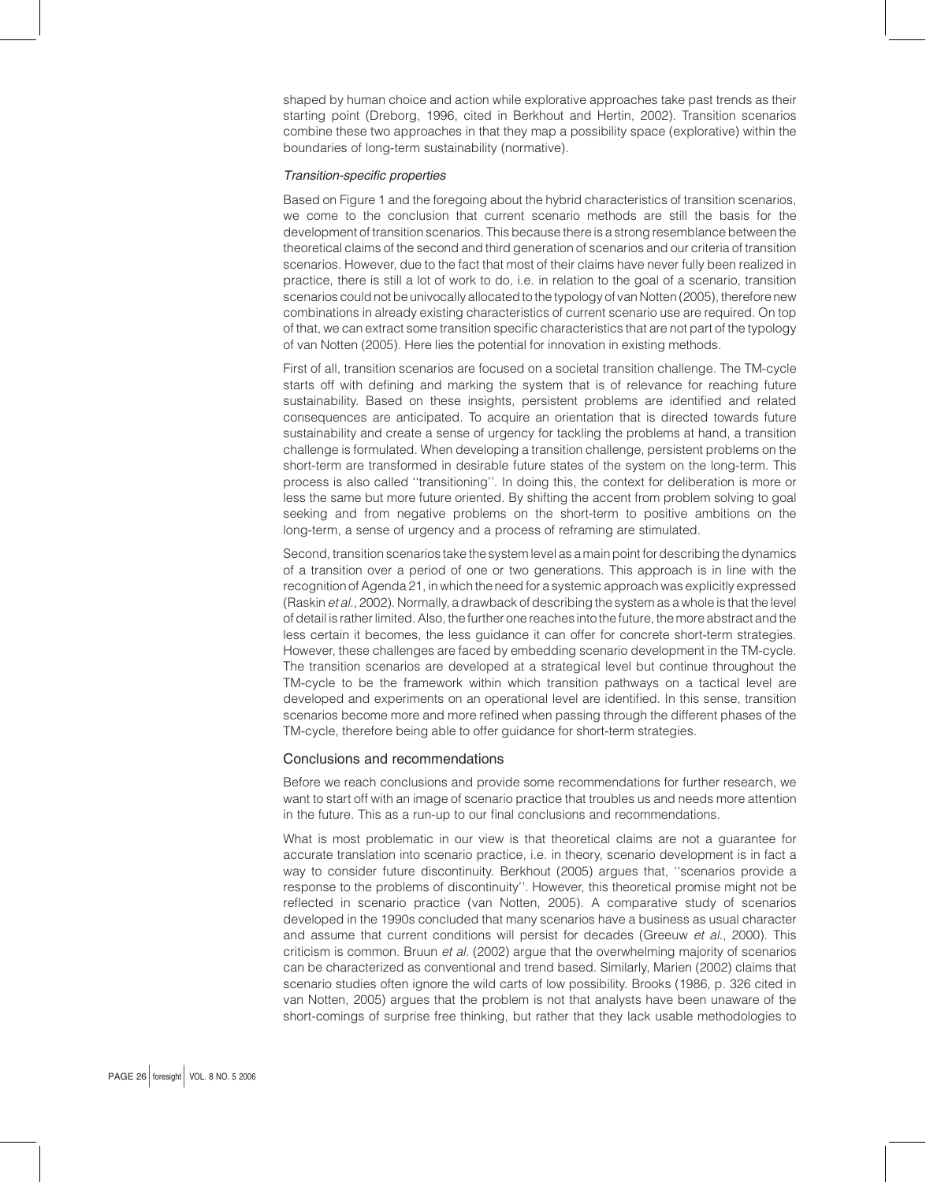shaped by human choice and action while explorative approaches take past trends as their starting point (Dreborg, 1996, cited in Berkhout and Hertin, 2002). Transition scenarios combine these two approaches in that they map a possibility space (explorative) within the boundaries of long-term sustainability (normative).

#### Transition-specific properties

Based on Figure 1 and the foregoing about the hybrid characteristics of transition scenarios, we come to the conclusion that current scenario methods are still the basis for the development of transition scenarios. This because there is a strong resemblance between the theoretical claims of the second and third generation of scenarios and our criteria of transition scenarios. However, due to the fact that most of their claims have never fully been realized in practice, there is still a lot of work to do, i.e. in relation to the goal of a scenario, transition scenarios could not be univocally allocated to the typology of van Notten (2005), therefore new combinations in already existing characteristics of current scenario use are required. On top of that, we can extract some transition specific characteristics that are not part of the typology of van Notten (2005). Here lies the potential for innovation in existing methods.

First of all, transition scenarios are focused on a societal transition challenge. The TM-cycle starts off with defining and marking the system that is of relevance for reaching future sustainability. Based on these insights, persistent problems are identified and related consequences are anticipated. To acquire an orientation that is directed towards future sustainability and create a sense of urgency for tackling the problems at hand, a transition challenge is formulated. When developing a transition challenge, persistent problems on the short-term are transformed in desirable future states of the system on the long-term. This process is also called ''transitioning''. In doing this, the context for deliberation is more or less the same but more future oriented. By shifting the accent from problem solving to goal seeking and from negative problems on the short-term to positive ambitions on the long-term, a sense of urgency and a process of reframing are stimulated.

Second, transition scenarios take the system level as a main point for describing the dynamics of a transition over a period of one or two generations. This approach is in line with the recognition of Agenda 21, in which the need for a systemic approach was explicitly expressed (Raskin et al., 2002). Normally, a drawback of describing the system as a whole is that the level of detail is rather limited. Also, the further one reaches into the future, the more abstract and the less certain it becomes, the less guidance it can offer for concrete short-term strategies. However, these challenges are faced by embedding scenario development in the TM-cycle. The transition scenarios are developed at a strategical level but continue throughout the TM-cycle to be the framework within which transition pathways on a tactical level are developed and experiments on an operational level are identified. In this sense, transition scenarios become more and more refined when passing through the different phases of the TM-cycle, therefore being able to offer guidance for short-term strategies.

## Conclusions and recommendations

Before we reach conclusions and provide some recommendations for further research, we want to start off with an image of scenario practice that troubles us and needs more attention in the future. This as a run-up to our final conclusions and recommendations.

What is most problematic in our view is that theoretical claims are not a guarantee for accurate translation into scenario practice, i.e. in theory, scenario development is in fact a way to consider future discontinuity. Berkhout (2005) argues that, ''scenarios provide a response to the problems of discontinuity''. However, this theoretical promise might not be reflected in scenario practice (van Notten, 2005). A comparative study of scenarios developed in the 1990s concluded that many scenarios have a business as usual character and assume that current conditions will persist for decades (Greeuw et al., 2000). This criticism is common. Bruun et al. (2002) argue that the overwhelming majority of scenarios can be characterized as conventional and trend based. Similarly, Marien (2002) claims that scenario studies often ignore the wild carts of low possibility. Brooks (1986, p. 326 cited in van Notten, 2005) argues that the problem is not that analysts have been unaware of the short-comings of surprise free thinking, but rather that they lack usable methodologies to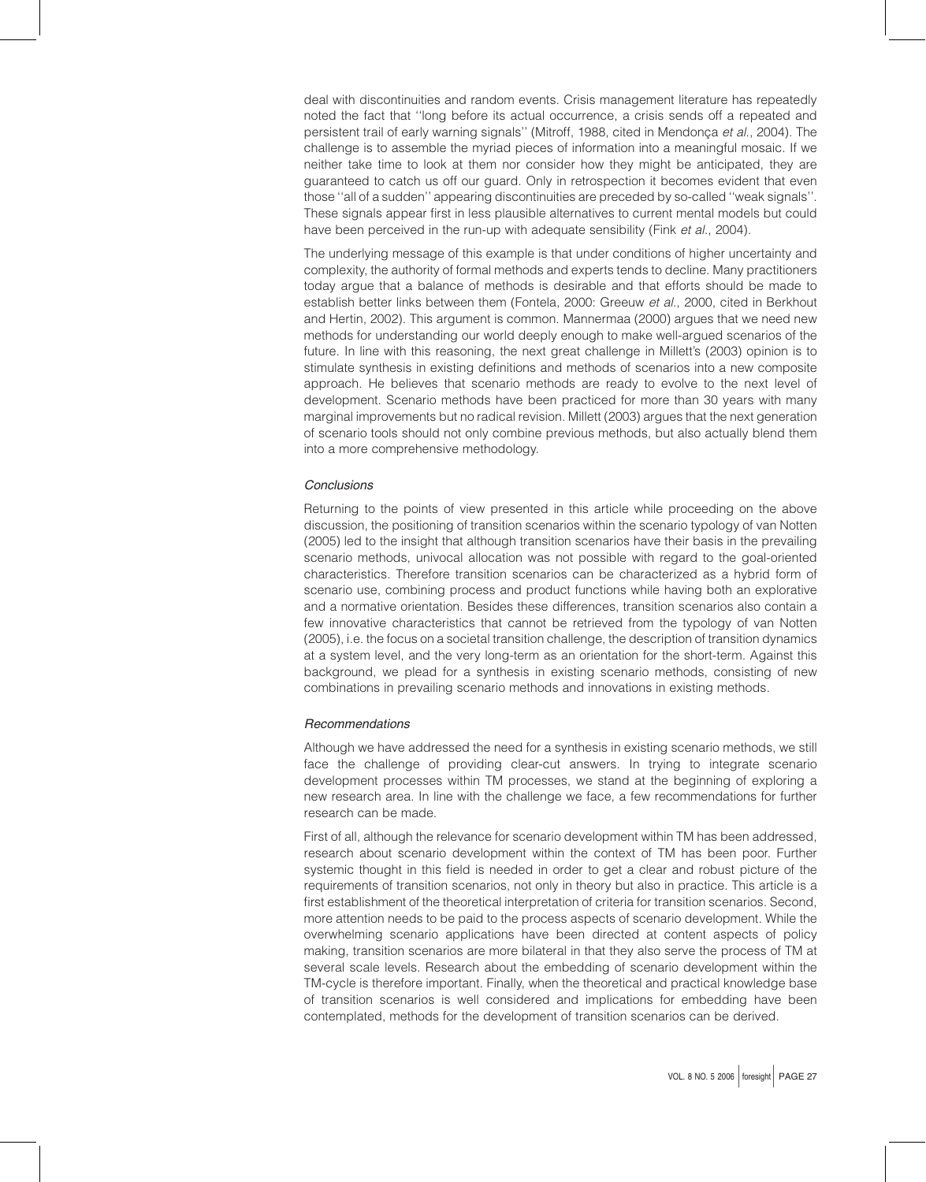deal with discontinuities and random events. Crisis management literature has repeatedly noted the fact that ''long before its actual occurrence, a crisis sends off a repeated and persistent trail of early warning signals" (Mitroff, 1988, cited in Mendonca et al., 2004). The challenge is to assemble the myriad pieces of information into a meaningful mosaic. If we neither take time to look at them nor consider how they might be anticipated, they are guaranteed to catch us off our guard. Only in retrospection it becomes evident that even those ''all of a sudden'' appearing discontinuities are preceded by so-called ''weak signals''. These signals appear first in less plausible alternatives to current mental models but could have been perceived in the run-up with adequate sensibility (Fink et al., 2004).

The underlying message of this example is that under conditions of higher uncertainty and complexity, the authority of formal methods and experts tends to decline. Many practitioners today argue that a balance of methods is desirable and that efforts should be made to establish better links between them (Fontela, 2000: Greeuw et al., 2000, cited in Berkhout and Hertin, 2002). This argument is common. Mannermaa (2000) argues that we need new methods for understanding our world deeply enough to make well-argued scenarios of the future. In line with this reasoning, the next great challenge in Millett's (2003) opinion is to stimulate synthesis in existing definitions and methods of scenarios into a new composite approach. He believes that scenario methods are ready to evolve to the next level of development. Scenario methods have been practiced for more than 30 years with many marginal improvements but no radical revision. Millett (2003) argues that the next generation of scenario tools should not only combine previous methods, but also actually blend them into a more comprehensive methodology.

## **Conclusions**

Returning to the points of view presented in this article while proceeding on the above discussion, the positioning of transition scenarios within the scenario typology of van Notten (2005) led to the insight that although transition scenarios have their basis in the prevailing scenario methods, univocal allocation was not possible with regard to the goal-oriented characteristics. Therefore transition scenarios can be characterized as a hybrid form of scenario use, combining process and product functions while having both an explorative and a normative orientation. Besides these differences, transition scenarios also contain a few innovative characteristics that cannot be retrieved from the typology of van Notten (2005), i.e. the focus on a societal transition challenge, the description of transition dynamics at a system level, and the very long-term as an orientation for the short-term. Against this background, we plead for a synthesis in existing scenario methods, consisting of new combinations in prevailing scenario methods and innovations in existing methods.

#### Recommendations

Although we have addressed the need for a synthesis in existing scenario methods, we still face the challenge of providing clear-cut answers. In trying to integrate scenario development processes within TM processes, we stand at the beginning of exploring a new research area. In line with the challenge we face, a few recommendations for further research can be made.

First of all, although the relevance for scenario development within TM has been addressed, research about scenario development within the context of TM has been poor. Further systemic thought in this field is needed in order to get a clear and robust picture of the requirements of transition scenarios, not only in theory but also in practice. This article is a first establishment of the theoretical interpretation of criteria for transition scenarios. Second, more attention needs to be paid to the process aspects of scenario development. While the overwhelming scenario applications have been directed at content aspects of policy making, transition scenarios are more bilateral in that they also serve the process of TM at several scale levels. Research about the embedding of scenario development within the TM-cycle is therefore important. Finally, when the theoretical and practical knowledge base of transition scenarios is well considered and implications for embedding have been contemplated, methods for the development of transition scenarios can be derived.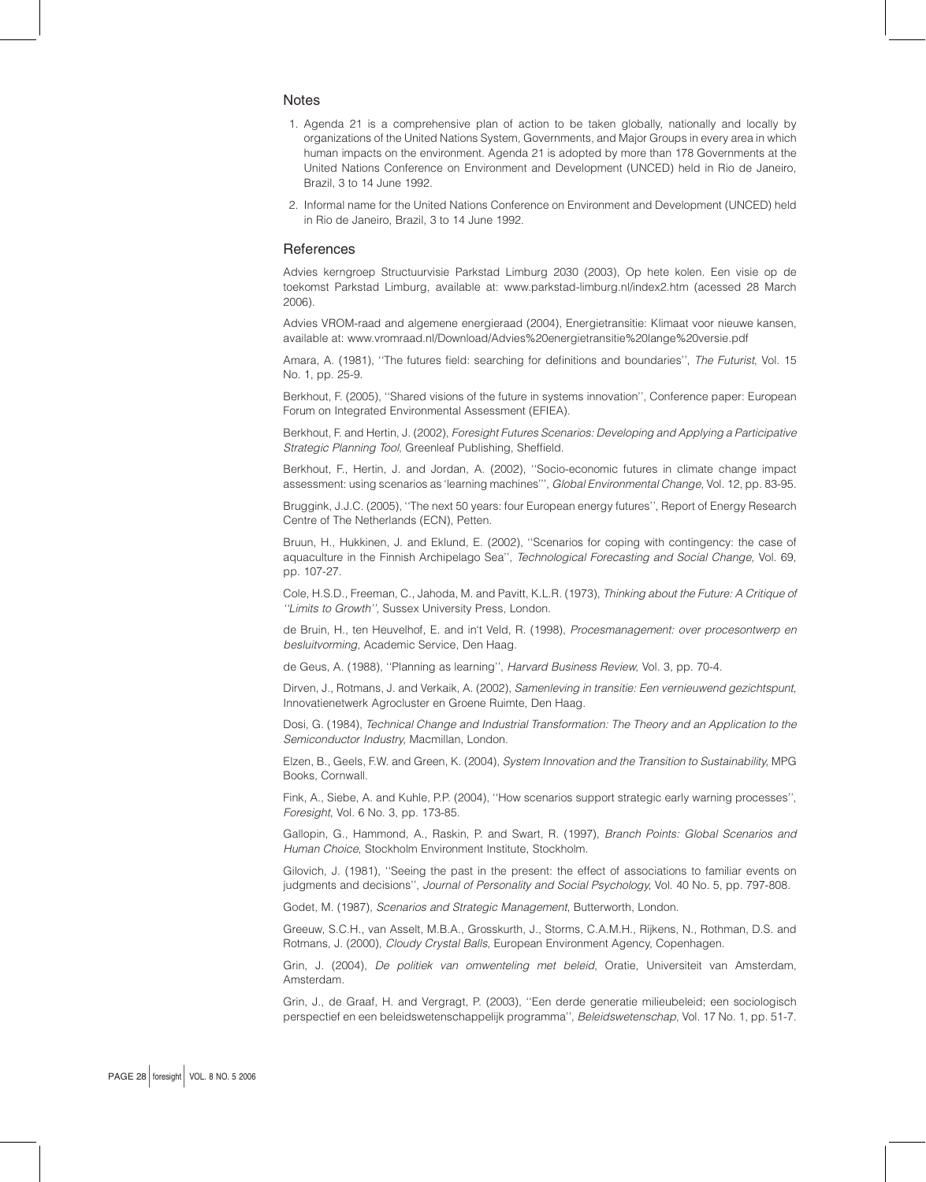#### **Notes**

- 1. Agenda 21 is a comprehensive plan of action to be taken globally, nationally and locally by organizations of the United Nations System, Governments, and Major Groups in every area in which human impacts on the environment. Agenda 21 is adopted by more than 178 Governments at the United Nations Conference on Environment and Development (UNCED) held in Rio de Janeiro, Brazil, 3 to 14 June 1992.
- 2. Informal name for the United Nations Conference on Environment and Development (UNCED) held in Rio de Janeiro, Brazil, 3 to 14 June 1992.

#### **References**

Advies kerngroep Structuurvisie Parkstad Limburg 2030 (2003), Op hete kolen. Een visie op de toekomst Parkstad Limburg, available at: www.parkstad-limburg.nl/index2.htm (acessed 28 March 2006).

Advies VROM-raad and algemene energieraad (2004), Energietransitie: Klimaat voor nieuwe kansen, available at: www.vromraad.nl/Download/Advies%20energietransitie%20lange%20versie.pdf

Amara, A. (1981), ''The futures field: searching for definitions and boundaries'', The Futurist, Vol. 15 No. 1, pp. 25-9.

Berkhout, F. (2005), ''Shared visions of the future in systems innovation'', Conference paper: European Forum on Integrated Environmental Assessment (EFIEA).

Berkhout, F. and Hertin, J. (2002), Foresight Futures Scenarios: Developing and Applying a Participative Strategic Planning Tool, Greenleaf Publishing, Sheffield.

Berkhout, F., Hertin, J. and Jordan, A. (2002), ''Socio-economic futures in climate change impact assessment: using scenarios as 'learning machines''', Global Environmental Change, Vol. 12, pp. 83-95.

Bruggink, J.J.C. (2005), ''The next 50 years: four European energy futures'', Report of Energy Research Centre of The Netherlands (ECN), Petten.

Bruun, H., Hukkinen, J. and Eklund, E. (2002), ''Scenarios for coping with contingency: the case of aquaculture in the Finnish Archipelago Sea'', Technological Forecasting and Social Change, Vol. 69, pp. 107-27.

Cole, H.S.D., Freeman, C., Jahoda, M. and Pavitt, K.L.R. (1973), Thinking about the Future: A Critique of ''Limits to Growth'', Sussex University Press, London.

de Bruin, H., ten Heuvelhof, E. and in't Veld, R. (1998), Procesmanagement: over procesontwerp en besluitvorming, Academic Service, Den Haag.

de Geus, A. (1988), ''Planning as learning'', Harvard Business Review, Vol. 3, pp. 70-4.

Dirven, J., Rotmans, J. and Verkaik, A. (2002), Samenleving in transitie: Een vernieuwend gezichtspunt, Innovatienetwerk Agrocluster en Groene Ruimte, Den Haag.

Dosi, G. (1984), Technical Change and Industrial Transformation: The Theory and an Application to the Semiconductor Industry, Macmillan, London.

Elzen, B., Geels, F.W. and Green, K. (2004), System Innovation and the Transition to Sustainability, MPG Books, Cornwall.

Fink, A., Siebe, A. and Kuhle, P.P. (2004), "How scenarios support strategic early warning processes", Foresight, Vol. 6 No. 3, pp. 173-85.

Gallopin, G., Hammond, A., Raskin, P. and Swart, R. (1997), Branch Points: Global Scenarios and Human Choice, Stockholm Environment Institute, Stockholm.

Gilovich, J. (1981), ''Seeing the past in the present: the effect of associations to familiar events on judgments and decisions", Journal of Personality and Social Psychology, Vol. 40 No. 5, pp. 797-808.

Godet, M. (1987), Scenarios and Strategic Management, Butterworth, London.

Greeuw, S.C.H., van Asselt, M.B.A., Grosskurth, J., Storms, C.A.M.H., Rijkens, N., Rothman, D.S. and Rotmans, J. (2000), Cloudy Crystal Balls, European Environment Agency, Copenhagen.

Grin, J. (2004), De politiek van omwenteling met beleid, Oratie, Universiteit van Amsterdam, Amsterdam.

Grin, J., de Graaf, H. and Vergragt, P. (2003), ''Een derde generatie milieubeleid; een sociologisch perspectief en een beleidswetenschappelijk programma'', Beleidswetenschap, Vol. 17 No. 1, pp. 51-7.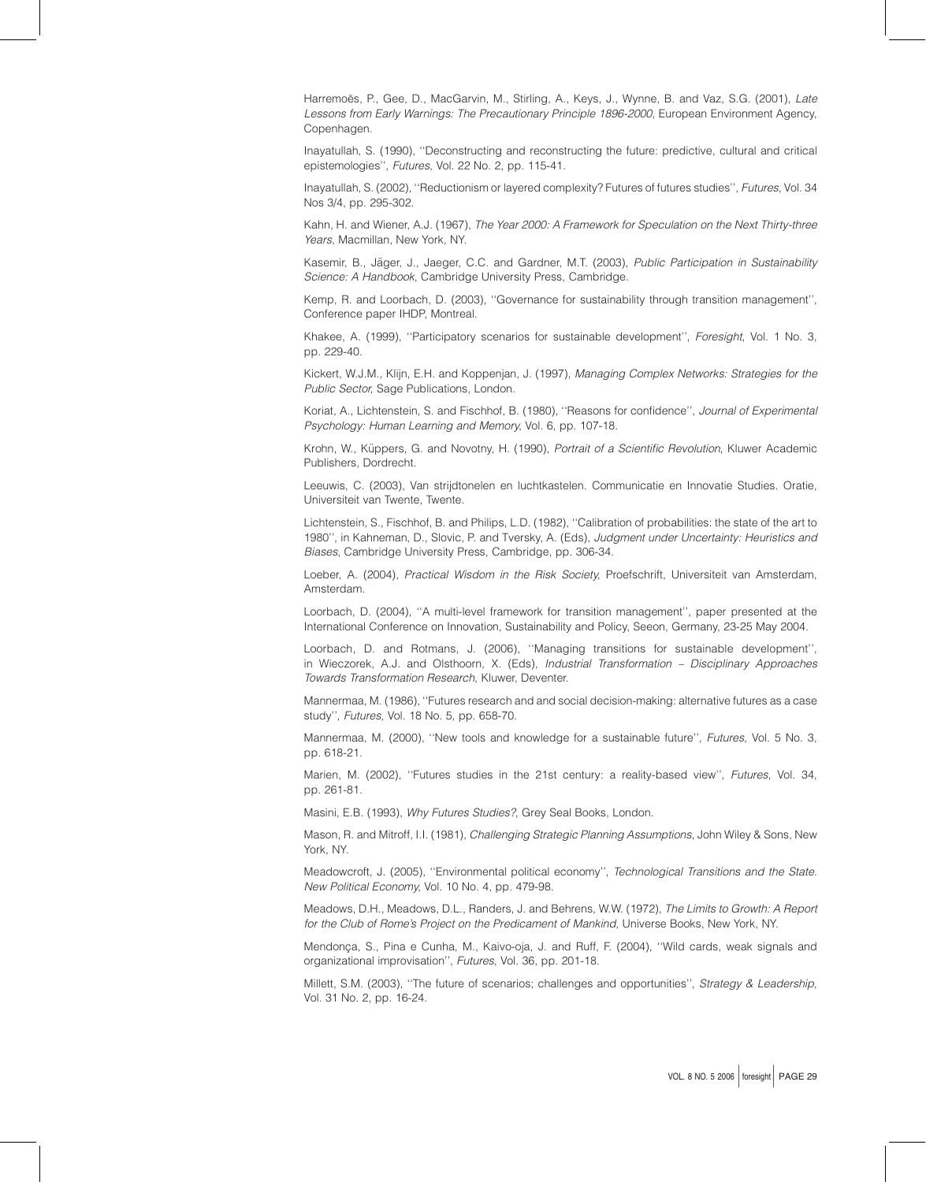Harremoës, P., Gee, D., MacGarvin, M., Stirling, A., Keys, J., Wynne, B. and Vaz, S.G. (2001), Late Lessons from Early Warnings: The Precautionary Principle 1896-2000, European Environment Agency, Copenhagen.

Inayatullah, S. (1990), ''Deconstructing and reconstructing the future: predictive, cultural and critical epistemologies'', Futures, Vol. 22 No. 2, pp. 115-41.

Inayatullah, S. (2002), ''Reductionism or layered complexity? Futures of futures studies'', Futures, Vol. 34 Nos 3/4, pp. 295-302.

Kahn, H. and Wiener, A.J. (1967), The Year 2000: A Framework for Speculation on the Next Thirty-three Years, Macmillan, New York, NY.

Kasemir, B., Jäger, J., Jaeger, C.C. and Gardner, M.T. (2003), Public Participation in Sustainability Science: A Handbook, Cambridge University Press, Cambridge.

Kemp, R. and Loorbach, D. (2003), ''Governance for sustainability through transition management'', Conference paper IHDP, Montreal.

Khakee, A. (1999), "Participatory scenarios for sustainable development", Foresight, Vol. 1 No. 3, pp. 229-40.

Kickert, W.J.M., Klijn, E.H. and Koppenjan, J. (1997), Managing Complex Networks: Strategies for the Public Sector, Sage Publications, London.

Koriat, A., Lichtenstein, S. and Fischhof, B. (1980), ''Reasons for confidence'', Journal of Experimental Psychology: Human Learning and Memory, Vol. 6, pp. 107-18.

Krohn, W., Küppers, G. and Novotny, H. (1990), Portrait of a Scientific Revolution, Kluwer Academic Publishers, Dordrecht.

Leeuwis, C. (2003), Van strijdtonelen en luchtkastelen. Communicatie en Innovatie Studies. Oratie, Universiteit van Twente, Twente.

Lichtenstein, S., Fischhof, B. and Philips, L.D. (1982), ''Calibration of probabilities: the state of the art to 1980", in Kahneman, D., Slovic, P. and Tversky, A. (Eds), Judgment under Uncertainty: Heuristics and Biases, Cambridge University Press, Cambridge, pp. 306-34.

Loeber, A. (2004), Practical Wisdom in the Risk Society, Proefschrift, Universiteit van Amsterdam, Amsterdam.

Loorbach, D. (2004), ''A multi-level framework for transition management'', paper presented at the International Conference on Innovation, Sustainability and Policy, Seeon, Germany, 23-25 May 2004.

Loorbach, D. and Rotmans, J. (2006), ''Managing transitions for sustainable development'', in Wieczorek, A.J. and Olsthoorn, X. (Eds), Industrial Transformation – Disciplinary Approaches Towards Transformation Research, Kluwer, Deventer.

Mannermaa, M. (1986), ''Futures research and and social decision-making: alternative futures as a case study'', Futures, Vol. 18 No. 5, pp. 658-70.

Mannermaa, M. (2000), ''New tools and knowledge for a sustainable future'', Futures, Vol. 5 No. 3, pp. 618-21.

Marien, M. (2002), "Futures studies in the 21st century: a reality-based view", Futures, Vol. 34, pp. 261-81.

Masini, E.B. (1993), Why Futures Studies?, Grey Seal Books, London.

Mason, R. and Mitroff, I.I. (1981), Challenging Strategic Planning Assumptions, John Wiley & Sons, New York, NY.

Meadowcroft, J. (2005), ''Environmental political economy'', Technological Transitions and the State. New Political Economy, Vol. 10 No. 4, pp. 479-98.

Meadows, D.H., Meadows, D.L., Randers, J. and Behrens, W.W. (1972), The Limits to Growth: A Report for the Club of Rome's Project on the Predicament of Mankind, Universe Books, New York, NY.

Mendonça, S., Pina e Cunha, M., Kaivo-oja, J. and Ruff, F. (2004), "Wild cards, weak signals and organizational improvisation'', Futures, Vol. 36, pp. 201-18.

Millett, S.M. (2003), "The future of scenarios; challenges and opportunities", Strategy & Leadership, Vol. 31 No. 2, pp. 16-24.